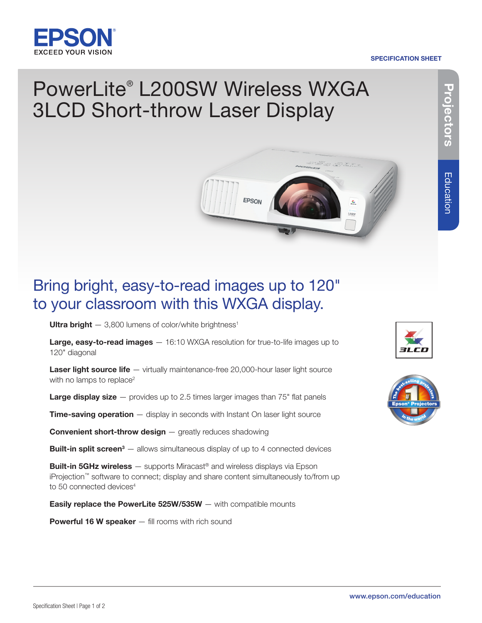

#### SPECIFICATION SHEET

# PowerLite® L200SW Wireless WXGA 3LCD Short-throw Laser Display



# Bring bright, easy-to-read images up to 120" to your classroom with this WXGA display.

Ultra bright  $-3,800$  lumens of color/white brightness<sup>1</sup>

Large, easy-to-read images  $-16:10$  WXGA resolution for true-to-life images up to 120" diagonal

Laser light source life – virtually maintenance-free 20,000-hour laser light source with no lamps to replace<sup>2</sup>

**Large display size**  $-$  provides up to 2.5 times larger images than 75" flat panels

**Time-saving operation**  $-$  display in seconds with Instant On laser light source

**Convenient short-throw design** – greatly reduces shadowing

**Built-in split screen**<sup>3</sup>  $-$  allows simultaneous display of up to 4 connected devices

**Built-in 5GHz wireless** — supports Miracast<sup>®</sup> and wireless displays via Epson iProjection™ software to connect; display and share content simultaneously to/from up to 50 connected devices<sup>4</sup>

**Easily replace the PowerLite 525W/535W**  $-$  with compatible mounts

**Powerful 16 W speaker** — fill rooms with rich sound